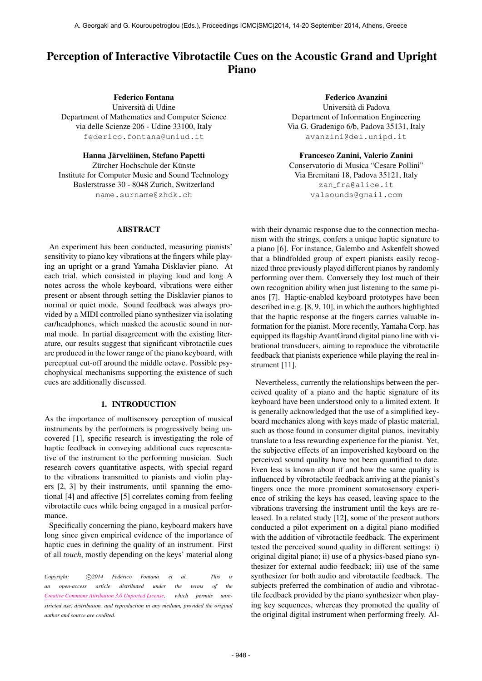# Perception of Interactive Vibrotactile Cues on the Acoustic Grand and Upright Piano

Federico Fontana

Universita di Udine ` Department of Mathematics and Computer Science via delle Scienze 206 - Udine 33100, Italy [federico.fontana@uniud.it](mailto:federico.fontana@uniud.it)

Hanna Järveläinen, Stefano Papetti Zürcher Hochschule der Künste Institute for Computer Music and Sound Technology Baslerstrasse 30 - 8048 Zurich, Switzerland [name.surname@zhdk.ch](mailto:name.surname@zhdk.ch)

## ABSTRACT

An experiment has been conducted, measuring pianists' sensitivity to piano key vibrations at the fingers while playing an upright or a grand Yamaha Disklavier piano. At each trial, which consisted in playing loud and long A notes across the whole keyboard, vibrations were either present or absent through setting the Disklavier pianos to normal or quiet mode. Sound feedback was always provided by a MIDI controlled piano synthesizer via isolating ear/headphones, which masked the acoustic sound in normal mode. In partial disagreement with the existing literature, our results suggest that significant vibrotactile cues are produced in the lower range of the piano keyboard, with perceptual cut-off around the middle octave. Possible psychophysical mechanisms supporting the existence of such cues are additionally discussed.

## 1. INTRODUCTION

As the importance of multisensory perception of musical instruments by the performers is progressively being uncovered [1], specific research is investigating the role of haptic feedback in conveying additional cues representative of the instrument to the performing musician. Such research covers quantitative aspects, with special regard to the vibrations transmitted to pianists and violin players [2, 3] by their instruments, until spanning the emotional [4] and affective [5] correlates coming from feeling vibrotactile cues while being engaged in a musical performance.

Specifically concerning the piano, keyboard makers have long since given empirical evidence of the importance of haptic cues in defining the quality of an instrument. First of all *touch*, mostly depending on the keys' material along

*Copyright:*  $\bigcirc$  *c*)2014 *Federico Fontana et al. This is an open-access article distributed under the terms of the [Creative Commons Attribution 3.0 Unported License,](http://creativecommons.org/licenses/by/3.0/) which permits unrestricted use, distribution, and reproduction in any medium, provided the original author and source are credited.*

Federico Avanzini Universita di Padova ` Department of Information Engineering Via G. Gradenigo 6/b, Padova 35131, Italy [avanzini@dei.unipd.it](mailto:avanzini@dei.unipd.it)

Francesco Zanini, Valerio Zanini Conservatorio di Musica "Cesare Pollini" Via Eremitani 18, Padova 35121, Italy zan [fra@alice.it](mailto:valsounds@gmail.com) [valsounds@gmail.com](mailto:valsounds@gmail.com)

with their dynamic response due to the connection mechanism with the strings, confers a unique haptic signature to a piano [6]. For instance, Galembo and Askenfelt showed that a blindfolded group of expert pianists easily recognized three previously played different pianos by randomly performing over them. Conversely they lost much of their own recognition ability when just listening to the same pianos [7]. Haptic-enabled keyboard prototypes have been described in e.g. [8, 9, 10], in which the authors highlighted that the haptic response at the fingers carries valuable information for the pianist. More recently, Yamaha Corp. has equipped its flagship AvantGrand digital piano line with vibrational transducers, aiming to reproduce the vibrotactile feedback that pianists experience while playing the real instrument [11].

Nevertheless, currently the relationships between the perceived quality of a piano and the haptic signature of its keyboard have been understood only to a limited extent. It is generally acknowledged that the use of a simplified keyboard mechanics along with keys made of plastic material, such as those found in consumer digital pianos, inevitably translate to a less rewarding experience for the pianist. Yet, the subjective effects of an impoverished keyboard on the perceived sound quality have not been quantified to date. Even less is known about if and how the same quality is influenced by vibrotactile feedback arriving at the pianist's fingers once the more prominent somatosensory experience of striking the keys has ceased, leaving space to the vibrations traversing the instrument until the keys are released. In a related study [12], some of the present authors conducted a pilot experiment on a digital piano modified with the addition of vibrotactile feedback. The experiment tested the perceived sound quality in different settings: i) original digital piano; ii) use of a physics-based piano synthesizer for external audio feedback; iii) use of the same synthesizer for both audio and vibrotactile feedback. The subjects preferred the combination of audio and vibrotactile feedback provided by the piano synthesizer when playing key sequences, whereas they promoted the quality of the original digital instrument when performing freely. Al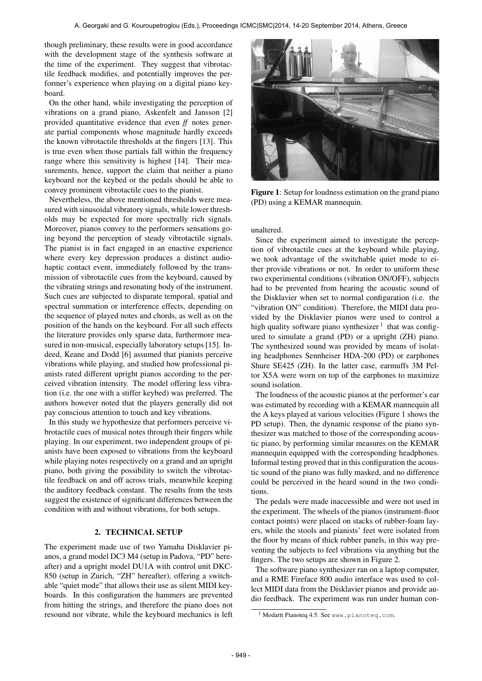though preliminary, these results were in good accordance with the development stage of the synthesis software at the time of the experiment. They suggest that vibrotactile feedback modifies, and potentially improves the performer's experience when playing on a digital piano keyboard.

On the other hand, while investigating the perception of vibrations on a grand piano, Askenfelt and Jansson [2] provided quantitative evidence that even *ff* notes generate partial components whose magnitude hardly exceeds the known vibrotactile thresholds at the fingers [13]. This is true even when those partials fall within the frequency range where this sensitivity is highest [14]. Their measurements, hence, support the claim that neither a piano keyboard nor the keybed or the pedals should be able to convey prominent vibrotactile cues to the pianist.

Nevertheless, the above mentioned thresholds were measured with sinusoidal vibratory signals, while lower thresholds may be expected for more spectrally rich signals. Moreover, pianos convey to the performers sensations going beyond the perception of steady vibrotactile signals. The pianist is in fact engaged in an enactive experience where every key depression produces a distinct audiohaptic contact event, immediately followed by the transmission of vibrotactile cues from the keyboard, caused by the vibrating strings and resonating body of the instrument. Such cues are subjected to disparate temporal, spatial and spectral summation or interference effects, depending on the sequence of played notes and chords, as well as on the position of the hands on the keyboard. For all such effects the literature provides only sparse data, furthermore measured in non-musical, especially laboratory setups [15]. Indeed, Keane and Dodd [6] assumed that pianists perceive vibrations while playing, and studied how professional pianists rated different upright pianos according to the perceived vibration intensity. The model offering less vibration (i.e. the one with a stiffer keybed) was preferred. The authors however noted that the players generally did not pay conscious attention to touch and key vibrations.

In this study we hypothesize that performers perceive vibrotactile cues of musical notes through their fingers while playing. In our experiment, two independent groups of pianists have been exposed to vibrations from the keyboard while playing notes respectively on a grand and an upright piano, both giving the possibility to switch the vibrotactile feedback on and off across trials, meanwhile keeping the auditory feedback constant. The results from the tests suggest the existence of significant differences between the condition with and without vibrations, for both setups.

## 2. TECHNICAL SETUP

The experiment made use of two Yamaha Disklavier pianos, a grand model DC3 M4 (setup in Padova, "PD" hereafter) and a upright model DU1A with control unit DKC-850 (setup in Zurich, "ZH" hereafter), offering a switchable "quiet mode" that allows their use as silent MIDI keyboards. In this configuration the hammers are prevented from hitting the strings, and therefore the piano does not resound nor vibrate, while the keyboard mechanics is left



Figure 1: Setup for loudness estimation on the grand piano (PD) using a KEMAR mannequin.

## unaltered.

Since the experiment aimed to investigate the perception of vibrotactile cues at the keyboard while playing, we took advantage of the switchable quiet mode to either provide vibrations or not. In order to uniform these two experimental conditions (vibration ON/OFF), subjects had to be prevented from hearing the acoustic sound of the Disklavier when set to normal configuration (i.e. the "vibration ON" condition). Therefore, the MIDI data provided by the Disklavier pianos were used to control a high quality software piano synthesizer <sup>1</sup> that was configured to simulate a grand (PD) or a upright (ZH) piano. The synthesized sound was provided by means of isolating headphones Sennheiser HDA-200 (PD) or earphones Shure SE425 (ZH). In the latter case, earmuffs 3M Peltor X5A were worn on top of the earphones to maximize sound isolation.

The loudness of the acoustic pianos at the performer's ear was estimated by recording with a KEMAR mannequin all the A keys played at various velocities (Figure 1 shows the PD setup). Then, the dynamic response of the piano synthesizer was matched to those of the corresponding acoustic piano, by performing similar measures on the KEMAR mannequin equipped with the corresponding headphones. Informal testing proved that in this configuration the acoustic sound of the piano was fully masked, and no difference could be perceived in the heard sound in the two conditions.

The pedals were made inaccessible and were not used in the experiment. The wheels of the pianos (instrument-floor contact points) were placed on stacks of rubber-foam layers, while the stools and pianists' feet were isolated from the floor by means of thick rubber panels, in this way preventing the subjects to feel vibrations via anything but the fingers. The two setups are shown in Figure 2.

The software piano synthesizer ran on a laptop computer, and a RME Fireface 800 audio interface was used to collect MIDI data from the Disklavier pianos and provide audio feedback. The experiment was run under human con-

<sup>&</sup>lt;sup>1</sup> Modartt Pianoteq 4.5. See <www.pianoteq.com>.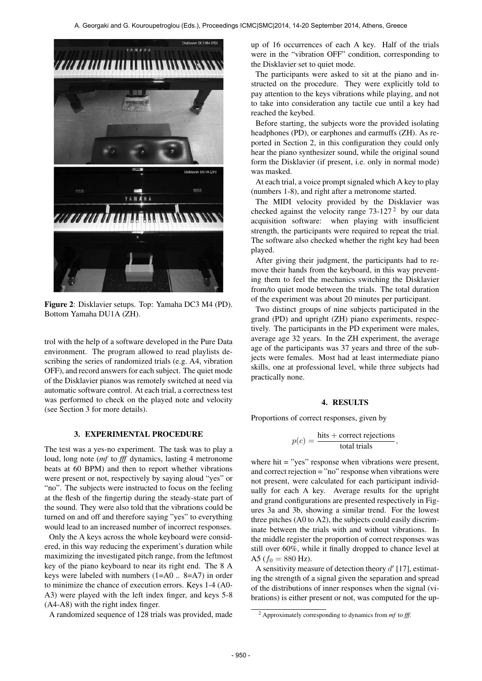

Figure 2: Disklavier setups. Top: Yamaha DC3 M4 (PD). Bottom Yamaha DU1A (ZH).

trol with the help of a software developed in the Pure Data environment. The program allowed to read playlists describing the series of randomized trials (e.g. A4, vibration OFF), and record answers for each subject. The quiet mode of the Disklavier pianos was remotely switched at need via automatic software control. At each trial, a correctness test was performed to check on the played note and velocity (see Section 3 for more details).

#### 3. EXPERIMENTAL PROCEDURE

The test was a yes-no experiment. The task was to play a loud, long note (*mf* to *fff* dynamics, lasting 4 metronome beats at 60 BPM) and then to report whether vibrations were present or not, respectively by saying aloud "yes" or "no". The subjects were instructed to focus on the feeling at the flesh of the fingertip during the steady-state part of the sound. They were also told that the vibrations could be turned on and off and therefore saying "yes" to everything would lead to an increased number of incorrect responses.

Only the A keys across the whole keyboard were considered, in this way reducing the experiment's duration while maximizing the investigated pitch range, from the leftmost key of the piano keyboard to near its right end. The 8 A keys were labeled with numbers (1=A0 .. 8=A7) in order to minimize the chance of execution errors. Keys 1-4 (A0- A3) were played with the left index finger, and keys 5-8 (A4-A8) with the right index finger.

A randomized sequence of 128 trials was provided, made

up of 16 occurrences of each A key. Half of the trials were in the "vibration OFF" condition, corresponding to the Disklavier set to quiet mode.

The participants were asked to sit at the piano and instructed on the procedure. They were explicitly told to pay attention to the keys vibrations while playing, and not to take into consideration any tactile cue until a key had reached the keybed.

Before starting, the subjects wore the provided isolating headphones (PD), or earphones and earmuffs (ZH). As reported in Section 2, in this configuration they could only hear the piano synthesizer sound, while the original sound form the Disklavier (if present, i.e. only in normal mode) was masked.

At each trial, a voice prompt signaled which A key to play (numbers 1-8), and right after a metronome started.

The MIDI velocity provided by the Disklavier was checked against the velocity range  $73-127<sup>2</sup>$  by our data acquisition software: when playing with insufficient strength, the participants were required to repeat the trial. The software also checked whether the right key had been played.

After giving their judgment, the participants had to remove their hands from the keyboard, in this way preventing them to feel the mechanics switching the Disklavier from/to quiet mode between the trials. The total duration of the experiment was about 20 minutes per participant.

Two distinct groups of nine subjects participated in the grand (PD) and upright (ZH) piano experiments, respectively. The participants in the PD experiment were males, average age 32 years. In the ZH experiment, the average age of the participants was 37 years and three of the subjects were females. Most had at least intermediate piano skills, one at professional level, while three subjects had practically none.

## 4. RESULTS

Proportions of correct responses, given by

$$
p(c) = \frac{\text{hits} + \text{correct rejections}}{\text{total trials}},
$$

where hit = "yes" response when vibrations were present, and correct rejection = "no" response when vibrations were not present, were calculated for each participant individually for each A key. Average results for the upright and grand configurations are presented respectively in Figures 3a and 3b, showing a similar trend. For the lowest three pitches (A0 to A2), the subjects could easily discriminate between the trials with and without vibrations. In the middle register the proportion of correct responses was still over 60%, while it finally dropped to chance level at A5 ( $f_0 = 880$  Hz).

A sensitivity measure of detection theory  $d'$  [17], estimating the strength of a signal given the separation and spread of the distributions of inner responses when the signal (vibrations) is either present or not, was computed for the up-

<sup>2</sup> Approximately corresponding to dynamics from *mf* to *fff*.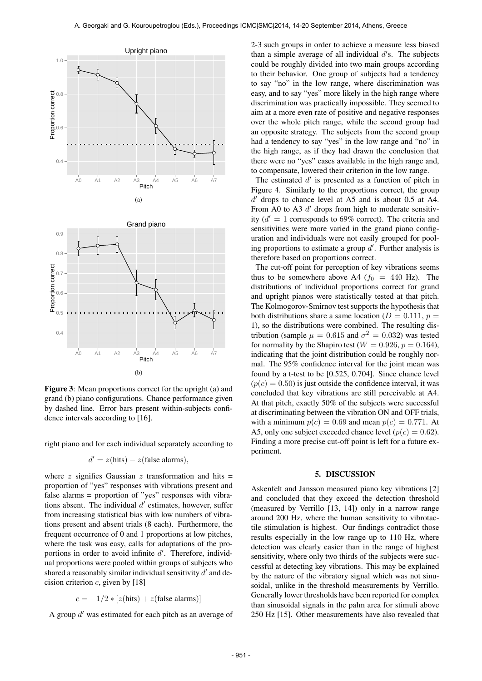

Figure 3: Mean proportions correct for the upright (a) and grand (b) piano configurations. Chance performance given by dashed line. Error bars present within-subjects confidence intervals according to [16].

right piano and for each individual separately according to

$$
d' = z(hits) - z(false~alarms),
$$

where z signifies Gaussian z transformation and hits  $=$ proportion of "yes" responses with vibrations present and false alarms = proportion of "yes" responses with vibrations absent. The individual  $d'$  estimates, however, suffer from increasing statistical bias with low numbers of vibrations present and absent trials (8 each). Furthermore, the frequent occurrence of 0 and 1 proportions at low pitches, where the task was easy, calls for adaptations of the proportions in order to avoid infinite  $d'$ . Therefore, individual proportions were pooled within groups of subjects who shared a reasonably similar individual sensitivity  $d'$  and decision criterion  $c$ , given by [18]

$$
c = -1/2 * [z(hits) + z(false~alarms)]
$$

A group  $d'$  was estimated for each pitch as an average of

2-3 such groups in order to achieve a measure less biased than a simple average of all individual  $d'$ s. The subjects could be roughly divided into two main groups according to their behavior. One group of subjects had a tendency to say "no" in the low range, where discrimination was easy, and to say "yes" more likely in the high range where discrimination was practically impossible. They seemed to aim at a more even rate of positive and negative responses over the whole pitch range, while the second group had an opposite strategy. The subjects from the second group had a tendency to say "yes" in the low range and "no" in the high range, as if they had drawn the conclusion that there were no "yes" cases available in the high range and, to compensate, lowered their criterion in the low range.

The estimated  $d'$  is presented as a function of pitch in Figure 4. Similarly to the proportions correct, the group d' drops to chance level at A5 and is about 0.5 at A4. From A0 to A3  $d'$  drops from high to moderate sensitivity  $(d' = 1$  corresponds to 69% correct). The criteria and sensitivities were more varied in the grand piano configuration and individuals were not easily grouped for pooling proportions to estimate a group  $d'$ . Further analysis is therefore based on proportions correct.

The cut-off point for perception of key vibrations seems thus to be somewhere above A4 ( $f_0 = 440$  Hz). The distributions of individual proportions correct for grand and upright pianos were statistically tested at that pitch. The Kolmogorov-Smirnov test supports the hypothesis that both distributions share a same location ( $D = 0.111$ ,  $p =$ 1), so the distributions were combined. The resulting distribution (sample  $\mu = 0.615$  and  $\sigma^2 = 0.032$ ) was tested for normality by the Shapiro test ( $W = 0.926$ ,  $p = 0.164$ ), indicating that the joint distribution could be roughly normal. The 95% confidence interval for the joint mean was found by a t-test to be [0.525, 0.704]. Since chance level  $(p(c) = 0.50)$  is just outside the confidence interval, it was concluded that key vibrations are still perceivable at A4. At that pitch, exactly 50% of the subjects were successful at discriminating between the vibration ON and OFF trials, with a minimum  $p(c) = 0.69$  and mean  $p(c) = 0.771$ . At A5, only one subject exceeded chance level ( $p(c) = 0.62$ ). Finding a more precise cut-off point is left for a future experiment.

#### 5. DISCUSSION

Askenfelt and Jansson measured piano key vibrations [2] and concluded that they exceed the detection threshold (measured by Verrillo [13, 14]) only in a narrow range around 200 Hz, where the human sensitivity to vibrotactile stimulation is highest. Our findings contradict those results especially in the low range up to 110 Hz, where detection was clearly easier than in the range of highest sensitivity, where only two thirds of the subjects were successful at detecting key vibrations. This may be explained by the nature of the vibratory signal which was not sinusoidal, unlike in the threshold measurements by Verrillo. Generally lower thresholds have been reported for complex than sinusoidal signals in the palm area for stimuli above 250 Hz [15]. Other measurements have also revealed that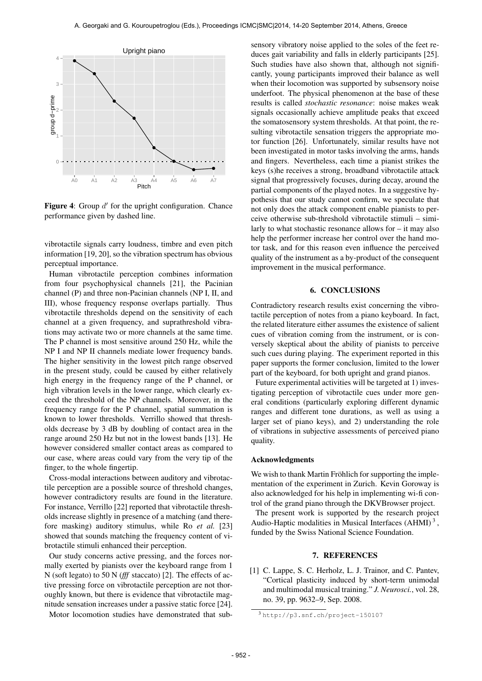

Figure 4: Group  $d'$  for the upright configuration. Chance performance given by dashed line.

vibrotactile signals carry loudness, timbre and even pitch information [19, 20], so the vibration spectrum has obvious perceptual importance.

Human vibrotactile perception combines information from four psychophysical channels [21], the Pacinian channel (P) and three non-Pacinian channels (NP I, II, and III), whose frequency response overlaps partially. Thus vibrotactile thresholds depend on the sensitivity of each channel at a given frequency, and suprathreshold vibrations may activate two or more channels at the same time. The P channel is most sensitive around 250 Hz, while the NP I and NP II channels mediate lower frequency bands. The higher sensitivity in the lowest pitch range observed in the present study, could be caused by either relatively high energy in the frequency range of the P channel, or high vibration levels in the lower range, which clearly exceed the threshold of the NP channels. Moreover, in the frequency range for the P channel, spatial summation is known to lower thresholds. Verrillo showed that thresholds decrease by 3 dB by doubling of contact area in the range around 250 Hz but not in the lowest bands [13]. He however considered smaller contact areas as compared to our case, where areas could vary from the very tip of the finger, to the whole fingertip.

Cross-modal interactions between auditory and vibrotactile perception are a possible source of threshold changes, however contradictory results are found in the literature. For instance, Verrillo [22] reported that vibrotactile thresholds increase slightly in presence of a matching (and therefore masking) auditory stimulus, while Ro *et al.* [23] showed that sounds matching the frequency content of vibrotactile stimuli enhanced their perception.

Our study concerns active pressing, and the forces normally exerted by pianists over the keyboard range from 1 N (soft legato) to 50 N (*fff* staccato) [2]. The effects of active pressing force on vibrotactile perception are not thoroughly known, but there is evidence that vibrotactile magnitude sensation increases under a passive static force [24].

Motor locomotion studies have demonstrated that sub-

sensory vibratory noise applied to the soles of the feet reduces gait variability and falls in elderly participants [25]. Such studies have also shown that, although not significantly, young participants improved their balance as well when their locomotion was supported by subsensory noise underfoot. The physical phenomenon at the base of these results is called *stochastic resonance*: noise makes weak signals occasionally achieve amplitude peaks that exceed the somatosensory system thresholds. At that point, the resulting vibrotactile sensation triggers the appropriate motor function [26]. Unfortunately, similar results have not been investigated in motor tasks involving the arms, hands and fingers. Nevertheless, each time a pianist strikes the keys (s)he receives a strong, broadband vibrotactile attack signal that progressively focuses, during decay, around the partial components of the played notes. In a suggestive hypothesis that our study cannot confirm, we speculate that not only does the attack component enable pianists to perceive otherwise sub-threshold vibrotactile stimuli – similarly to what stochastic resonance allows for – it may also help the performer increase her control over the hand motor task, and for this reason even influence the perceived quality of the instrument as a by-product of the consequent improvement in the musical performance.

### 6. CONCLUSIONS

Contradictory research results exist concerning the vibrotactile perception of notes from a piano keyboard. In fact, the related literature either assumes the existence of salient cues of vibration coming from the instrument, or is conversely skeptical about the ability of pianists to perceive such cues during playing. The experiment reported in this paper supports the former conclusion, limited to the lower part of the keyboard, for both upright and grand pianos.

Future experimental activities will be targeted at 1) investigating perception of vibrotactile cues under more general conditions (particularly exploring different dynamic ranges and different tone durations, as well as using a larger set of piano keys), and 2) understanding the role of vibrations in subjective assessments of perceived piano quality.

### Acknowledgments

We wish to thank Martin Fröhlich for supporting the implementation of the experiment in Zurich. Kevin Goroway is also acknowledged for his help in implementing wi-fi control of the grand piano through the DKVBrowser project.

The present work is supported by the research project Audio-Haptic modalities in Musical Interfaces (AHMI)<sup>3</sup>, funded by the Swiss National Science Foundation.

### 7. REFERENCES

[1] C. Lappe, S. C. Herholz, L. J. Trainor, and C. Pantev, "Cortical plasticity induced by short-term unimodal and multimodal musical training." *J. Neurosci.*, vol. 28, no. 39, pp. 9632–9, Sep. 2008.

<sup>3</sup> <http://p3.snf.ch/project-150107>